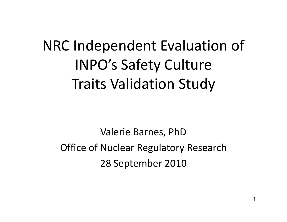## NRC Independent Evaluation of INPO's Safety Culture Traits Validation Study

Valerie Barnes, PhD Office of Nuclear Regulatory Research 28 September 2010

1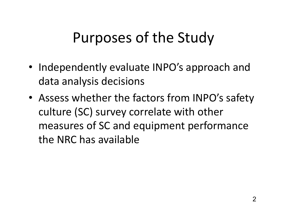#### Purposes of the Study

- Independently evaluate INPO's approach and data analysis decisions
- Assess whether the factors from INPO's safety culture (SC) survey correlate with other measures of SC and equipment performance the NRC has available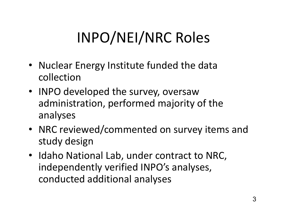## INPO/NEI/NRC Roles

- Nuclear Energy Institute funded the data collection
- INPO developed the survey, oversaw administration, performed majority of the analyses
- NRC reviewed/commented on survey items and study design
- Idaho National Lab, under contract to NRC, independently verified INPO's analyses, conducted additional analyses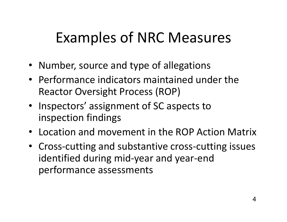#### Examples of NRC Measures

- Number, source and type of allegations
- Performance indicators maintained under the Reactor Oversight Process (ROP)
- Inspectors' assignment of SC aspects to inspection findings
- Location and movement in the ROP Action Matrix
- Cross-cutting and substantive cross-cutting issues identified during mid-year and year-end performance assessments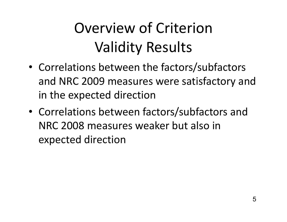# Overview of Criterion Validity Results

- Correlations between the factors/subfactors and NRC 2009 measures were satisfactory and in the expected direction
- Correlations between factors/subfactors and NRC 2008 measures weaker but also in expected direction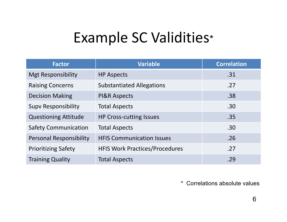#### Example SC Validities \*

| <b>Factor</b>                  | <b>Variable</b>                       | <b>Correlation</b> |
|--------------------------------|---------------------------------------|--------------------|
| <b>Mgt Responsibility</b>      | <b>HP Aspects</b>                     | .31                |
| <b>Raising Concerns</b>        | <b>Substantiated Allegations</b>      | .27                |
| <b>Decision Making</b>         | <b>PI&amp;R Aspects</b>               | .38                |
| <b>Supv Responsibility</b>     | <b>Total Aspects</b>                  | .30                |
| <b>Questioning Attitude</b>    | <b>HP Cross-cutting Issues</b>        | .35                |
| <b>Safety Communication</b>    | <b>Total Aspects</b>                  | .30                |
| <b>Personal Responsibility</b> | <b>HFIS Communication Issues</b>      | .26                |
| <b>Prioritizing Safety</b>     | <b>HFIS Work Practices/Procedures</b> | .27                |
| <b>Training Quality</b>        | <b>Total Aspects</b>                  | .29                |

\* Correlations absolute values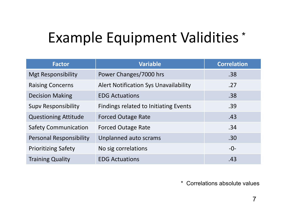## Example Equipment Validities \*

| <b>Factor</b>                  | <b>Variable</b>                              | <b>Correlation</b> |
|--------------------------------|----------------------------------------------|--------------------|
| <b>Mgt Responsibility</b>      | Power Changes/7000 hrs                       | .38                |
| <b>Raising Concerns</b>        | <b>Alert Notification Sys Unavailability</b> | .27                |
| <b>Decision Making</b>         | <b>EDG Actuations</b>                        | .38                |
| <b>Supy Responsibility</b>     | <b>Findings related to Initiating Events</b> | .39                |
| <b>Questioning Attitude</b>    | <b>Forced Outage Rate</b>                    | .43                |
| <b>Safety Communication</b>    | <b>Forced Outage Rate</b>                    | .34                |
| <b>Personal Responsibility</b> | Unplanned auto scrams                        | .30 <sub>1</sub>   |
| <b>Prioritizing Safety</b>     | No sig correlations                          | $-0-$              |
| <b>Training Quality</b>        | <b>EDG Actuations</b>                        | .43                |

\* Correlations absolute values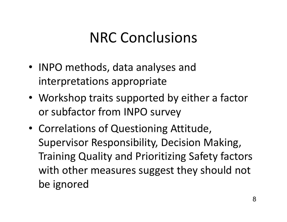#### NRC Conclusions

- INPO methods, data analyses and interpretations appropriate
- Workshop traits supported by either a factor or subfactor from INPO survey
- Correlations of Questioning Attitude, Supervisor Responsibility, Decision Making, Training Quality and Prioritizing Safety factors with other measures suggest they should not be ignored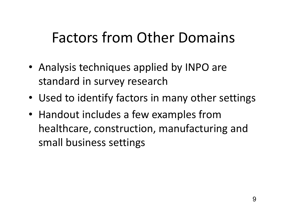#### Factors from Other Domains

- Analysis techniques applied by INPO are standard in survey research
- Used to identify factors in many other settings
- Handout includes a few examples f •• Handout includes a few examples from healthcare, construction, manufacturing and small business settings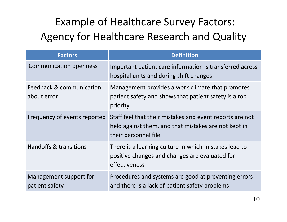#### Example of Healthcare Survey Factors: Agency for Healthcare Research and Quality

| <b>Factors</b>                           | <b>Definition</b>                                                                                                                        |  |
|------------------------------------------|------------------------------------------------------------------------------------------------------------------------------------------|--|
| <b>Communication openness</b>            | Important patient care information is transferred across<br>hospital units and during shift changes                                      |  |
| Feedback & communication<br>about error  | Management provides a work climate that promotes<br>patient safety and shows that patient safety is a top<br>priority                    |  |
| Frequency of events reported             | Staff feel that their mistakes and event reports are not<br>held against them, and that mistakes are not kept in<br>their personnel file |  |
| Handoffs & transitions                   | There is a learning culture in which mistakes lead to<br>positive changes and changes are evaluated for<br>effectiveness                 |  |
| Management support for<br>patient safety | Procedures and systems are good at preventing errors<br>and there is a lack of patient safety problems                                   |  |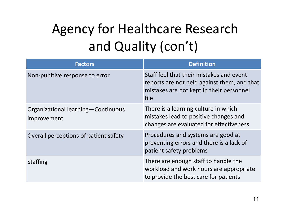## Agency for Healthcare Research and Quality (con't)

| <b>Factors</b>                                      | <b>Definition</b>                                                                                                                           |
|-----------------------------------------------------|---------------------------------------------------------------------------------------------------------------------------------------------|
| Non-punitive response to error                      | Staff feel that their mistakes and event<br>reports are not held against them, and that<br>mistakes are not kept in their personnel<br>file |
| Organizational learning - Continuous<br>improvement | There is a learning culture in which<br>mistakes lead to positive changes and<br>changes are evaluated for effectiveness                    |
| Overall perceptions of patient safety               | Procedures and systems are good at<br>preventing errors and there is a lack of<br>patient safety problems                                   |
| <b>Staffing</b>                                     | There are enough staff to handle the<br>workload and work hours are appropriate<br>to provide the best care for patients                    |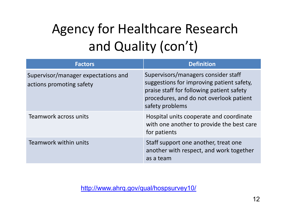## Agency for Healthcare Research and Quality (con't)

| <b>Factors</b>                                                  | <b>Definition</b>                                                                                                                                                                           |
|-----------------------------------------------------------------|---------------------------------------------------------------------------------------------------------------------------------------------------------------------------------------------|
| Supervisor/manager expectations and<br>actions promoting safety | Supervisors/managers consider staff<br>suggestions for improving patient safety,<br>praise staff for following patient safety<br>procedures, and do not overlook patient<br>safety problems |
| Teamwork across units                                           | Hospital units cooperate and coordinate<br>with one another to provide the best care<br>for patients                                                                                        |
| Teamwork within units                                           | Staff support one another, treat one<br>another with respect, and work together<br>as a team                                                                                                |

http://www.ahrq.gov/qual/hospsurvey10/